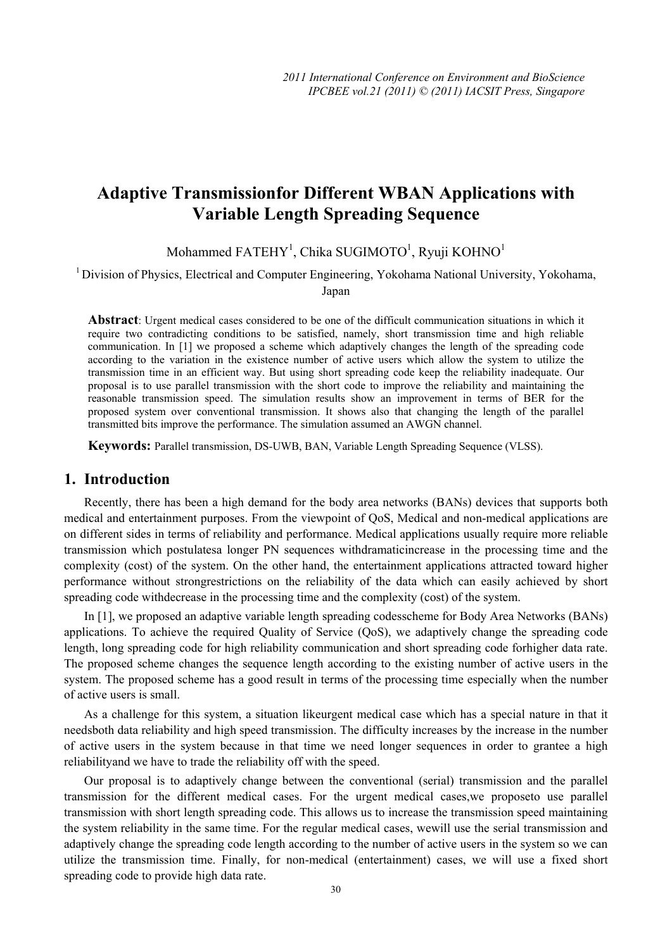# **Adaptive Transmissionfor Different WBAN Applications with Variable Length Spreading Sequence**

## Mohammed FATEHY<sup>1</sup>, Chika SUGIMOTO<sup>1</sup>, Ryuji KOHNO<sup>1</sup>

<sup>1</sup> Division of Physics, Electrical and Computer Engineering, Yokohama National University, Yokohama, Japan

**Abstract**: Urgent medical cases considered to be one of the difficult communication situations in which it require two contradicting conditions to be satisfied, namely, short transmission time and high reliable communication. In [1] we proposed a scheme which adaptively changes the length of the spreading code according to the variation in the existence number of active users which allow the system to utilize the transmission time in an efficient way. But using short spreading code keep the reliability inadequate. Our proposal is to use parallel transmission with the short code to improve the reliability and maintaining the reasonable transmission speed. The simulation results show an improvement in terms of BER for the proposed system over conventional transmission. It shows also that changing the length of the parallel transmitted bits improve the performance. The simulation assumed an AWGN channel.

**Keywords:** Parallel transmission, DS-UWB, BAN, Variable Length Spreading Sequence (VLSS).

### **1. Introduction**

Recently, there has been a high demand for the body area networks (BANs) devices that supports both medical and entertainment purposes. From the viewpoint of QoS, Medical and non-medical applications are on different sides in terms of reliability and performance. Medical applications usually require more reliable transmission which postulatesa longer PN sequences withdramaticincrease in the processing time and the complexity (cost) of the system. On the other hand, the entertainment applications attracted toward higher performance without strongrestrictions on the reliability of the data which can easily achieved by short spreading code withdecrease in the processing time and the complexity (cost) of the system.

In [1], we proposed an adaptive variable length spreading codesscheme for Body Area Networks (BANs) applications. To achieve the required Quality of Service (QoS), we adaptively change the spreading code length, long spreading code for high reliability communication and short spreading code forhigher data rate. The proposed scheme changes the sequence length according to the existing number of active users in the system. The proposed scheme has a good result in terms of the processing time especially when the number of active users is small.

As a challenge for this system, a situation likeurgent medical case which has a special nature in that it needsboth data reliability and high speed transmission. The difficulty increases by the increase in the number of active users in the system because in that time we need longer sequences in order to grantee a high reliabilityand we have to trade the reliability off with the speed.

Our proposal is to adaptively change between the conventional (serial) transmission and the parallel transmission for the different medical cases. For the urgent medical cases,we proposeto use parallel transmission with short length spreading code. This allows us to increase the transmission speed maintaining the system reliability in the same time. For the regular medical cases, wewill use the serial transmission and adaptively change the spreading code length according to the number of active users in the system so we can utilize the transmission time. Finally, for non-medical (entertainment) cases, we will use a fixed short spreading code to provide high data rate.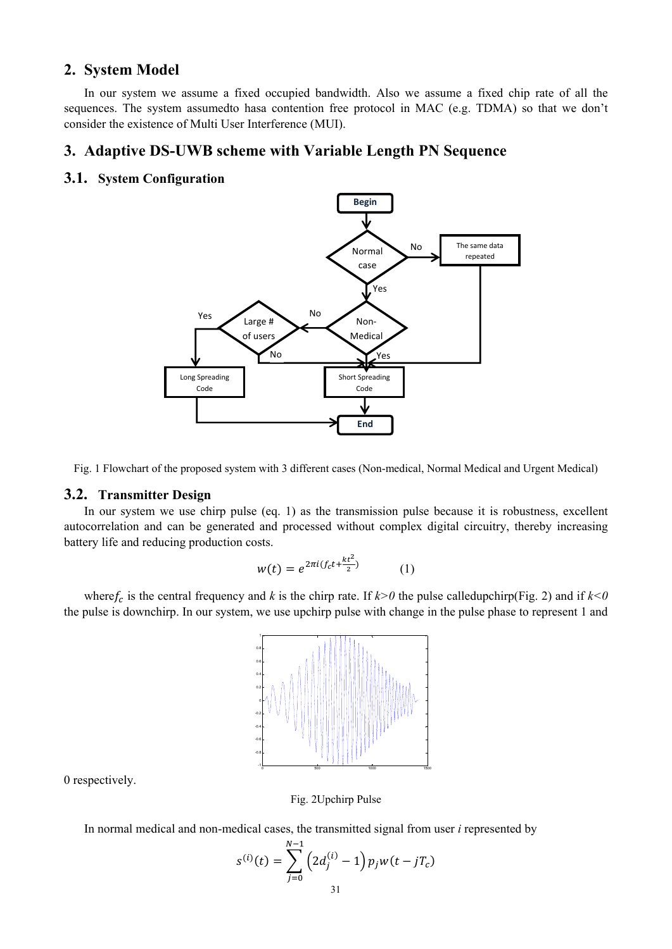## 2. System Model

In our system we assume a fixed occupied bandwidth. Also we assume a fixed chip rate of all the sequences. The system assumed to hasa contention free protocol in MAC (e.g. TDMA) so that we don't consider the existence of Multi User Interference (MUI).

### 3. Adaptive DS-UWB scheme with Variable Length PN Sequence

#### 3.1. System Configuration



Fig. 1 Flowchart of the proposed system with 3 different cases (Non-medical, Normal Medical and Urgent Medical)

#### 3.2. Transmitter Design

In our system we use chirp pulse (eq. 1) as the transmission pulse because it is robustness, excellent autocorrelation and can be generated and processed without complex digital circuitry, thereby increasing battery life and reducing production costs.

$$
w(t) = e^{2\pi i (f_c t + \frac{kt^2}{2})}
$$
 (1)

where  $f_c$  is the central frequency and k is the chirp rate. If  $k > 0$  the pulse called upchirp (Fig. 2) and if  $k < 0$ the pulse is downchirp. In our system, we use upchirp pulse with change in the pulse phase to represent 1 and



0 respectively.

Fig. 2Upchirp Pulse

In normal medical and non-medical cases, the transmitted signal from user *i* represented by

$$
s^{(i)}(t) = \sum_{j=0}^{N-1} \left( 2d_j^{(i)} - 1 \right) p_j w(t - jT_c)
$$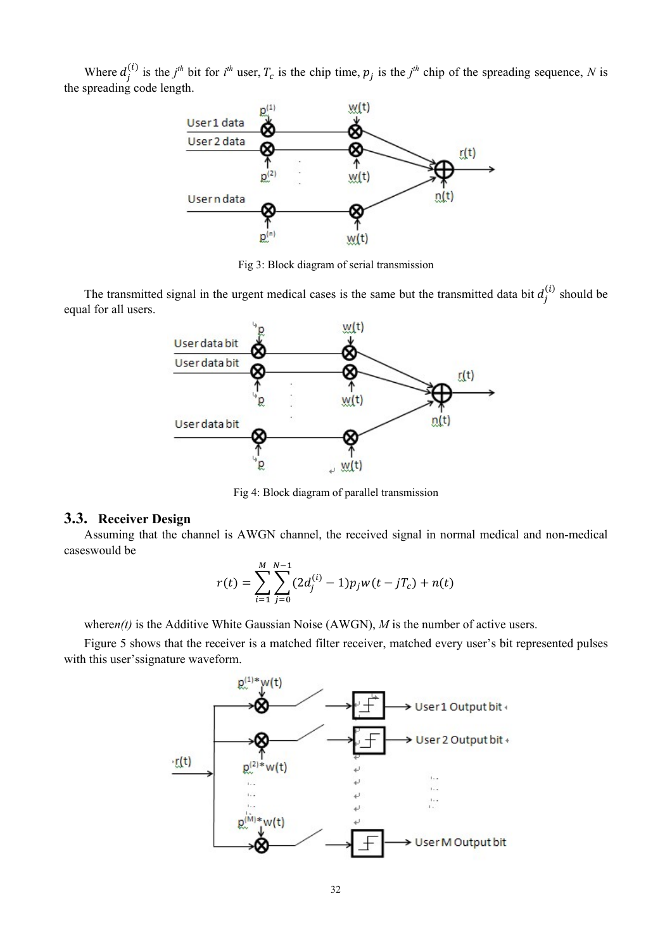Where  $d_j^{(i)}$  is the  $j^{th}$  bit for  $i^{th}$  user,  $T_c$  is the chip time,  $p_j$  is the  $j^{th}$  chip of the spreading sequence, N is the spreading code length.



Fig 3: Block diagram of serial transmission

The transmitted signal in the urgent medical cases is the same but the transmitted data bit  $d_i^{(i)}$  should be equal for all users.



Fig 4: Block diagram of parallel transmission

#### 3.3. Receiver Design

Assuming that the channel is AWGN channel, the received signal in normal medical and non-medical caseswould be

$$
r(t) = \sum_{i=1}^{M} \sum_{j=0}^{N-1} (2d_j^{(i)} - 1)p_j w(t - jT_c) + n(t)
$$

where  $n(t)$  is the Additive White Gaussian Noise (AWGN), M is the number of active users.

Figure 5 shows that the receiver is a matched filter receiver, matched every user's bit represented pulses with this user's signature waveform.

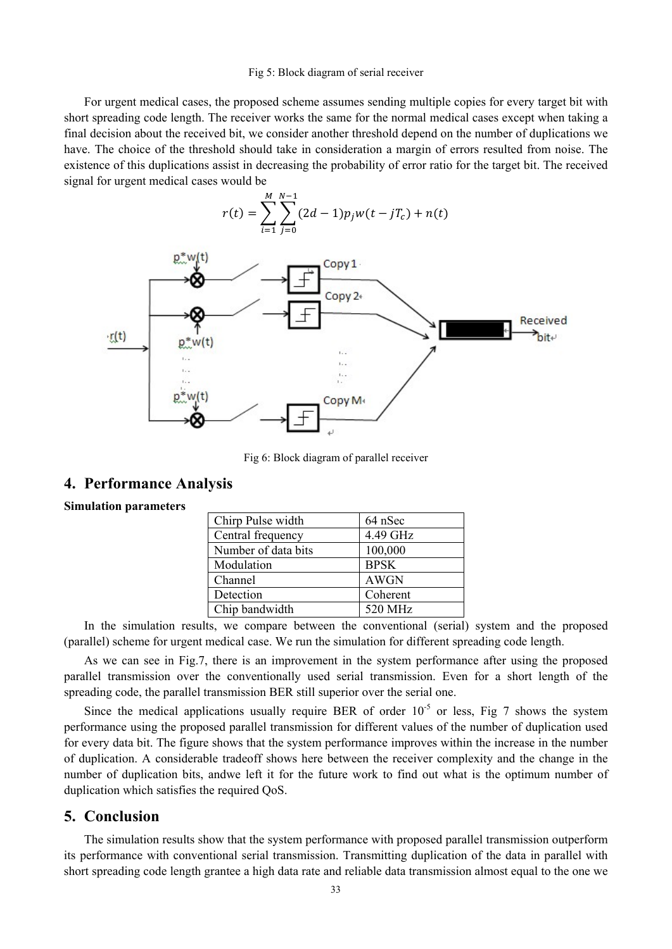#### Fig 5: Block diagram of serial receiver

For urgent medical cases, the proposed scheme assumes sending multiple copies for every target bit with short spreading code length. The receiver works the same for the normal medical cases except when taking a final decision about the received bit, we consider another threshold depend on the number of duplications we have. The choice of the threshold should take in consideration a margin of errors resulted from noise. The existence of this duplications assist in decreasing the probability of error ratio for the target bit. The received signal for urgent medical cases would be

$$
r(t) = \sum_{i=1}^{M} \sum_{j=0}^{N-1} (2d-1)p_j w(t - jT_c) + n(t)
$$



Fig 6: Block diagram of parallel receiver

### **4. Performance Analysis**

#### **Simulation parameters**

| Chirp Pulse width   | 64 nSec     |
|---------------------|-------------|
| Central frequency   | 4.49 GHz    |
| Number of data bits | 100,000     |
| Modulation          | <b>BPSK</b> |
| Channel             | <b>AWGN</b> |
| Detection           | Coherent    |
| Chip bandwidth      | 520 MHz     |

In the simulation results, we compare between the conventional (serial) system and the proposed (parallel) scheme for urgent medical case. We run the simulation for different spreading code length.

As we can see in Fig.7, there is an improvement in the system performance after using the proposed parallel transmission over the conventionally used serial transmission. Even for a short length of the spreading code, the parallel transmission BER still superior over the serial one.

Since the medical applications usually require BER of order  $10^{-5}$  or less, Fig 7 shows the system performance using the proposed parallel transmission for different values of the number of duplication used for every data bit. The figure shows that the system performance improves within the increase in the number of duplication. A considerable tradeoff shows here between the receiver complexity and the change in the number of duplication bits, andwe left it for the future work to find out what is the optimum number of duplication which satisfies the required QoS.

### **5. Conclusion**

The simulation results show that the system performance with proposed parallel transmission outperform its performance with conventional serial transmission. Transmitting duplication of the data in parallel with short spreading code length grantee a high data rate and reliable data transmission almost equal to the one we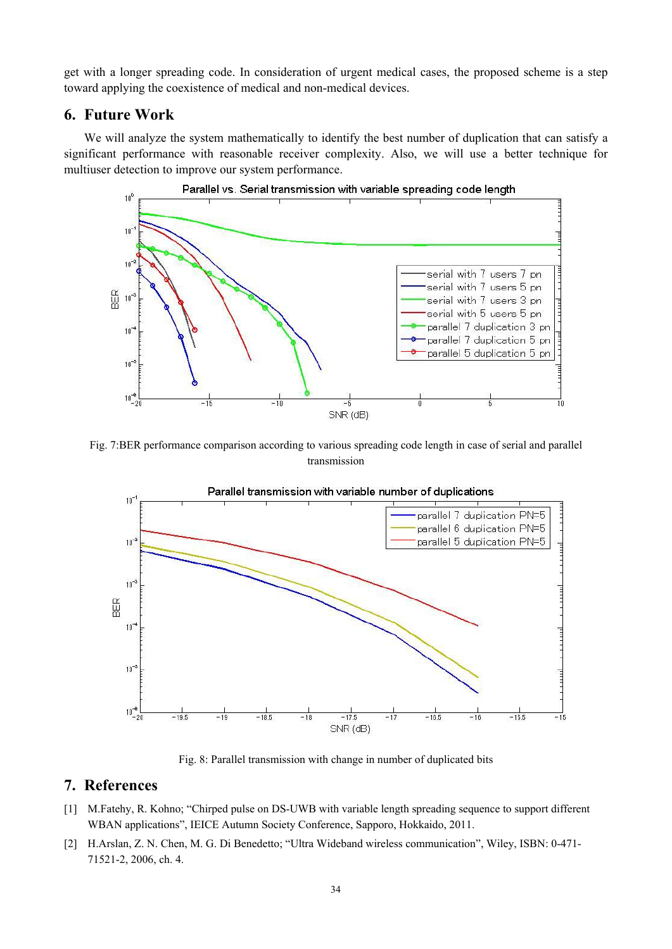get with a longer spreading code. In consideration of urgent medical cases, the proposed scheme is a step toward applying the coexistence of medical and non-medical devices.

### **6. Future Work**

We will analyze the system mathematically to identify the best number of duplication that can satisfy a significant performance with reasonable receiver complexity. Also, we will use a better technique for multiuser detection to improve our system performance.



Fig. 7:BER performance comparison according to various spreading code length in case of serial and parallel transmission



Fig. 8: Parallel transmission with change in number of duplicated bits

## **7. References**

- [1] M.Fatehy, R. Kohno; "Chirped pulse on DS-UWB with variable length spreading sequence to support different WBAN applications", IEICE Autumn Society Conference, Sapporo, Hokkaido, 2011.
- [2] H.Arslan, Z. N. Chen, M. G. Di Benedetto; "Ultra Wideband wireless communication", Wiley, ISBN: 0-471- 71521-2, 2006, ch. 4.